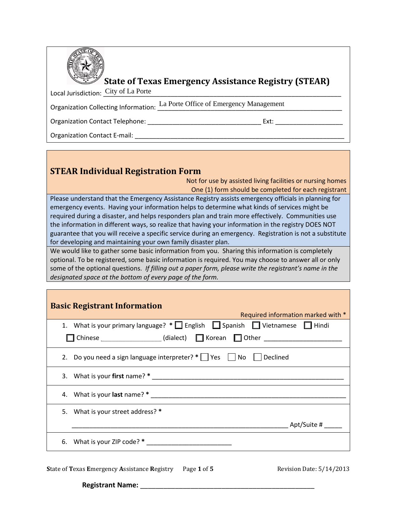

## **State of Texas Emergency Assistance Registry (STEAR)**

Local Jurisdiction:  $\frac{\mathrm{City}\ of\ La\ Porte}{\mathrm{Cost}}$ 

Organization Collecting Information: La Porte Office of Emergency Management

Organization Contact Telephone: \_\_\_\_\_\_\_\_\_\_\_\_\_\_\_\_\_\_\_\_\_\_\_\_\_\_\_\_\_\_\_\_ Ext: \_\_\_\_\_\_\_\_\_\_\_\_\_\_\_\_\_\_\_

Organization Contact E-mail:

## **STEAR Individual Registration Form**

Not for use by assisted living facilities or nursing homes One (1) form should be completed for each registrant

Please understand that the Emergency Assistance Registry assists emergency officials in planning for emergency events. Having your information helps to determine what kinds of services might be required during a disaster, and helps responders plan and train more effectively. Communities use the information in different ways, so realize that having your information in the registry DOES NOT guarantee that you will receive a specific service during an emergency. Registration is not a substitute for developing and maintaining your own family disaster plan.

We would like to gather some basic information from you. Sharing this information is completely optional. To be registered, some basic information is required. You may choose to answer all or only some of the optional questions. *If filling out a paper form, please write the registrant's name in the designated space at the bottom of every page of the form.* 

| <b>Basic Registrant Information</b><br>Required information marked with *                          |
|----------------------------------------------------------------------------------------------------|
| 1. What is your primary language? $*$ $\Box$ English $\Box$ Spanish $\Box$ Vietnamese $\Box$ Hindi |
| Chinese ________________(dialect) C Korean C Other _____________________________                   |
| 2. Do you need a sign language interpreter? $*$ $\Box$ Yes $\Box$ No $\Box$ Declined               |
|                                                                                                    |
|                                                                                                    |
| 5. What is your street address? *                                                                  |
| Apt/Suite #                                                                                        |
| 6. What is your ZIP code? $*$                                                                      |
|                                                                                                    |

**S**tate of **T**exas **E**mergency **A**ssistance **R**egistry Page **1** of **5** Revision Date: 5/14/2013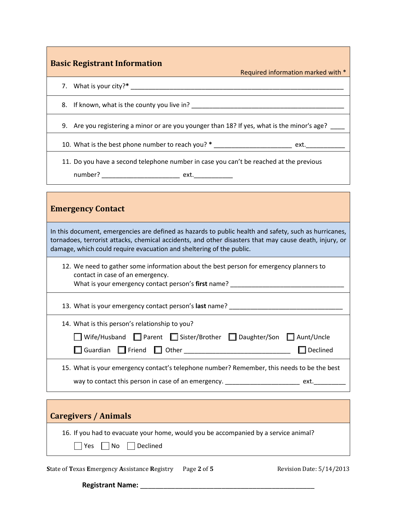| <b>Basic Registrant Information</b><br>Required information marked with *                                                                                                                                                                                                               |
|-----------------------------------------------------------------------------------------------------------------------------------------------------------------------------------------------------------------------------------------------------------------------------------------|
|                                                                                                                                                                                                                                                                                         |
|                                                                                                                                                                                                                                                                                         |
| 9. Are you registering a minor or are you younger than 18? If yes, what is the minor's age? _                                                                                                                                                                                           |
| 10. What is the best phone number to reach you? * _______________________________ ext. _____________                                                                                                                                                                                    |
| 11. Do you have a second telephone number in case you can't be reached at the previous                                                                                                                                                                                                  |
| <b>Emergency Contact</b>                                                                                                                                                                                                                                                                |
| In this document, emergencies are defined as hazards to public health and safety, such as hurricanes,<br>tornadoes, terrorist attacks, chemical accidents, and other disasters that may cause death, injury, or<br>damage, which could require evacuation and sheltering of the public. |
| 12. We need to gather some information about the best person for emergency planners to<br>contact in case of an emergency.<br>What is your emergency contact person's first name? ____________________________                                                                          |
| 13. What is your emergency contact person's last name? __________________________                                                                                                                                                                                                       |
| 14. What is this person's relationship to you?<br>■ Wife/Husband ■ Parent ■ Sister/Brother ■ Daughter/Son ■ Aunt/Uncle<br>Declined<br>$\Box$ Guardian<br>$\Box$ Friend<br>II.                                                                                                           |
| 15. What is your emergency contact's telephone number? Remember, this needs to be the best<br>way to contact this person in case of an emergency. ____________________________ ext. _____________                                                                                       |
| <b>Caregivers / Animals</b>                                                                                                                                                                                                                                                             |

16. If you had to evacuate your home, would you be accompanied by a service animal?

Yes  $\Box$  No  $\Box$  Declined

**S**tate of Texas Emergency Assistance Registry Page 2 of 5 Revision Date: 5/14/2013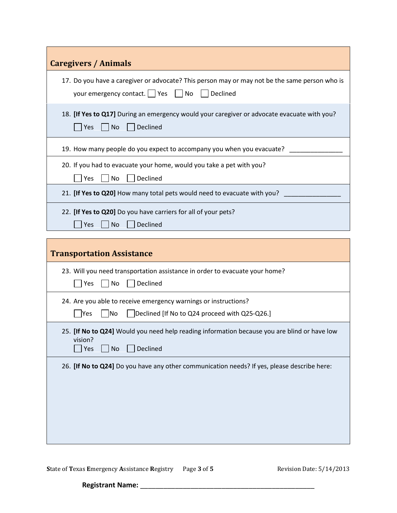| <b>Caregivers / Animals</b>                                                                                                                       |
|---------------------------------------------------------------------------------------------------------------------------------------------------|
| 17. Do you have a caregiver or advocate? This person may or may not be the same person who is<br>Declined<br>your emergency contact.   Yes<br>No  |
| 18. [If Yes to Q17] During an emergency would your caregiver or advocate evacuate with you?<br>Yes<br>$\vert$ $\vert$ No<br>Declined              |
| 19. How many people do you expect to accompany you when you evacuate?                                                                             |
| 20. If you had to evacuate your home, would you take a pet with you?<br>Declined<br>Yes<br>No                                                     |
| 21. [If Yes to Q20] How many total pets would need to evacuate with you?                                                                          |
| 22. [If Yes to Q20] Do you have carriers for all of your pets?<br>Declined<br>Yes<br><b>No</b>                                                    |
| <b>Transportation Assistance</b>                                                                                                                  |
| 23. Will you need transportation assistance in order to evacuate your home?                                                                       |
| Yes<br>No<br>Declined                                                                                                                             |
| 24. Are you able to receive emergency warnings or instructions?<br>$\exists$ Yes<br>No<br>Declined [If No to Q24 proceed with Q25-Q26.]           |
| 25. [If No to Q24] Would you need help reading information because you are blind or have low<br>vision?<br>$\sqrt{}$ Yes<br>Declined<br><b>No</b> |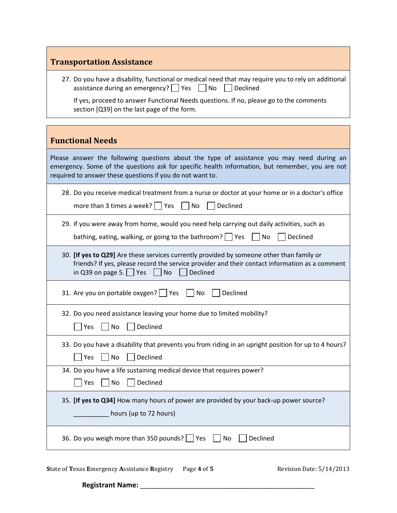## **Transportation Assistance**

| 27. Do you have a disability, functional or medical need that may require you to rely on additional<br>assistance during an emergency? Ves all No<br>  Declined<br>If yes, proceed to answer Functional Needs questions. If no, please go to the comments |
|-----------------------------------------------------------------------------------------------------------------------------------------------------------------------------------------------------------------------------------------------------------|
| section [Q39] on the last page of the form.                                                                                                                                                                                                               |
|                                                                                                                                                                                                                                                           |
| <b>Functional Needs</b>                                                                                                                                                                                                                                   |
| Please answer the following questions about the type of assistance you may need during an<br>emergency. Some of the questions ask for specific health information, but remember, you are not<br>required to answer these questions if you do not want to. |
| 28. Do you receive medical treatment from a nurse or doctor at your home or in a doctor's office<br>more than 3 times a week? $\Box$ Yes<br>Declined<br>  No                                                                                              |
| 29. If you were away from home, would you need help carrying out daily activities, such as<br>bathing, eating, walking, or going to the bathroom? $\Box$ Yes<br>No<br>Declined                                                                            |
| 30. [If yes to Q29] Are these services currently provided by someone other than family or<br>friends? If yes, please record the service provider and their contact information as a comment<br>in Q39 on page 5. $\Box$ Yes<br>Declined<br><b>No</b>      |
| 31. Are you on portable oxygen?     Yes<br>Declined<br>No                                                                                                                                                                                                 |
| 32. Do you need assistance leaving your home due to limited mobility?<br>Declined<br>No<br>Yes                                                                                                                                                            |
| 33. Do you have a disability that prevents you from riding in an upright position for up to 4 hours?<br>Yes<br>No Declined                                                                                                                                |
| 34. Do you have a life sustaining medical device that requires power?<br>Yes<br>No<br>Declined                                                                                                                                                            |
| 35. [If yes to Q34] How many hours of power are provided by your back-up power source?<br>hours (up to 72 hours)                                                                                                                                          |
| 36. Do you weigh more than 350 pounds?     Yes<br>Declined<br>No                                                                                                                                                                                          |